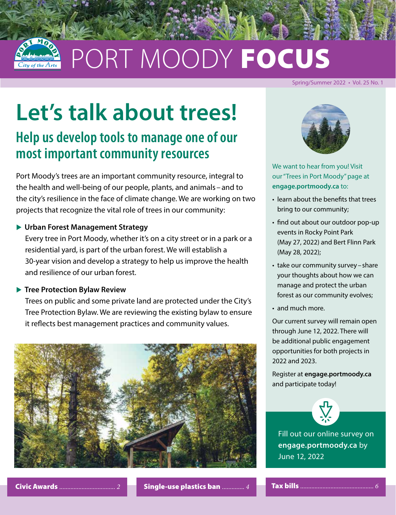

# PORT MOODY FOCUS

#### Spring/Summer 2022 • Vol. 25 No. 1

# **Let's talk about trees!**

### **Help us develop tools to manage one of our most important community resources**

Port Moody's trees are an important community resource, integral to the health and well-being of our people, plants, and animals –and to the city's resilience in the face of climate change. We are working on two projects that recognize the vital role of trees in our community:

#### **• Urban Forest Management Strategy**

Every tree in Port Moody, whether it's on a city street or in a park or a residential yard, is part of the urban forest. We will establish a 30-year vision and develop a strategy to help us improve the health and resilience of our urban forest.

#### **Figure 2 Tree Protection Bylaw Review**

Trees on public and some private land are protected under the City's Tree Protection Bylaw. We are reviewing the existing bylaw to ensure it reflects best management practices and community values.





We want to hear from you! Visit our "Trees in Port Moody" page at **[engage.portmoody.ca](https://engage.portmoody.ca/)** to:

- learn about the benefits that trees bring to our community;
- find out about our outdoor pop-up events in Rocky Point Park (May 27, 2022) and Bert Flinn Park (May 28, 2022);
- take our community survey share your thoughts about how we can manage and protect the urban forest as our community evolves;
- and much more.

Our current survey will remain open through June 12, 2022. There will be additional public engagement opportunities for both projects in 2022 and 2023.

Register at **[engage.portmoody.ca](https://engage.portmoody.ca/)** and participate today!



Fill out our online survey on **[engage.portmoody.ca](https://engage.portmoody.ca/)** by June 12, 2022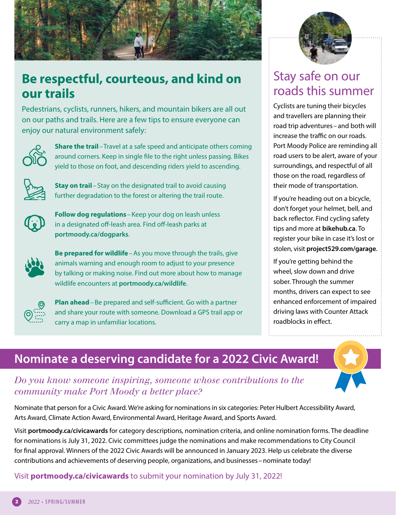<span id="page-1-0"></span>

### **Be respectful, courteous, and kind on our trails**

Pedestrians, cyclists, runners, hikers, and mountain bikers are all out on our paths and trails. Here are a few tips to ensure everyone can enjoy our natural environment safely:



**Share the trail** – Travel at a safe speed and anticipate others coming around corners. Keep in single file to the right unless passing. Bikes yield to those on foot, and descending riders yield to ascending.



**Stay on trail**–Stay on the designated trail to avoid causing further degradation to the forest or altering the trail route.



**Follow dog regulations** – Keep your dog on leash unless in a designated off-leash area. Find off-leash parks at **[portmoody.ca/dogparks](https://www.portmoody.ca/en/recreation-parks-and-environment/off-leash-dog-parks.aspx)**.



**Be prepared for wildlife**–As you move through the trails, give animals warning and enough room to adjust to your presence by talking or making noise. Find out more about how to manage wildlife encounters at **[portmoody.ca/wildlife](https://www.portmoody.ca/en/recreation-parks-and-environment/wildlife.aspx#Bears)**.



**Plan ahead**–Be prepared and self-sufficient. Go with a partner and share your route with someone. Download a GPS trail app or carry a map in unfamiliar locations.



### Stay safe on our roads this summer

Cyclists are tuning their bicycles and travellers are planning their road trip adventures - and both will increase the traffic on our roads. Port Moody Police are reminding all road users to be alert, aware of your surroundings, and respectful of all those on the road, regardless of their mode of transportation.

If you're heading out on a bicycle, don't forget your helmet, bell, and back reflector. Find cycling safety tips and more at **[bikehub.ca](https://bikehub.ca/)**. To register your bike in case it's lost or stolen, visit **[project529.com/garage](https://project529.com/garage)**.

If you're getting behind the wheel, slow down and drive sober. Through the summer months, drivers can expect to see enhanced enforcement of impaired driving laws with Counter Attack roadblocks in effect.

### **Nominate a deserving candidate for a 2022 Civic Award!**

#### *Do you know someone inspiring, someone whose contributions to the community make Port Moody a better place?*

Nominate that person for a Civic Award. We're asking for nominations in six categories: Peter Hulbert Accessibility Award, Arts Award, Climate Action Award, Environmental Award, Heritage Award, and Sports Award.

Visit **[portmoody.ca/civicawards](https://www.portmoody.ca/en/city-hall/civic-awards.aspx)** for category descriptions, nomination criteria, and online nomination forms. The deadline for nominations is July 31, 2022. Civic committees judge the nominations and make recommendations to City Council for final approval. Winners of the 2022 Civic Awards will be announced in January 2023. Help us celebrate the diverse contributions and achievements of deserving people, organizations, and businesses–nominate today!

Visit **[portmoody.ca/civicawards](https://www.portmoody.ca/en/city-hall/civic-awards.aspx)** to submit your nomination by July 31, 2022!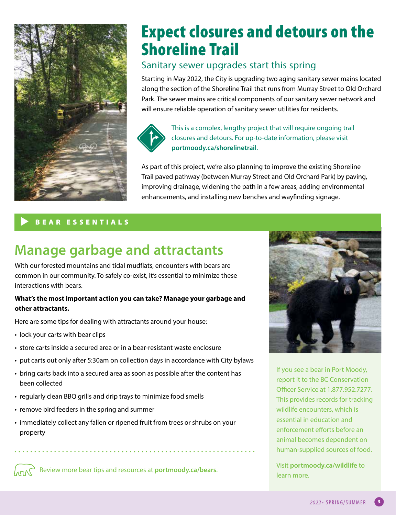

# Expect closures and detours on the Shoreline Trail

#### Sanitary sewer upgrades start this spring

Starting in May 2022, the City is upgrading two aging sanitary sewer mains located along the section of the Shoreline Trail that runs from Murray Street to Old Orchard Park. The sewer mains are critical components of our sanitary sewer network and will ensure reliable operation of sanitary sewer utilities for residents.



This is a complex, lengthy project that will require ongoing trail closures and detours. For up-to-date information, please visit **[portmoody.ca/shorelinetrail](https://www.portmoody.ca/en/city-services/sanitary-sewer-upgrades.aspx)**.

As part of this project, we're also planning to improve the existing Shoreline Trail paved pathway (between Murray Street and Old Orchard Park) by paving, improving drainage, widening the path in a few areas, adding environmental enhancements, and installing new benches and wayfinding signage.

#### BEAR ESSENTIALS

# **Manage garbage and attractants**

With our forested mountains and tidal mudflats, encounters with bears are common in our community. To safely co-exist, it's essential to minimize these interactions with bears.

#### **What's the most important action you can take? Manage your garbage and other attractants.**

Here are some tips for dealing with attractants around your house:

- lock your carts with bear clips
- store carts inside a secured area or in a bear-resistant waste enclosure
- put carts out only after 5:30am on collection days in accordance with City bylaws
- bring carts back into a secured area as soon as possible after the content has been collected
- regularly clean BBQ grills and drip trays to minimize food smells
- remove bird feeders in the spring and summer
- immediately collect any fallen or ripened fruit from trees or shrubs on your property

**ARCUPT ADD** Review more bear tips and resources at **portmoody.ca/bears.** 



If you see a bear in Port Moody, report it to the BC Conservation Officer Service at 1.877.952.7277. This provides records for tracking wildlife encounters, which is essential in education and enforcement efforts before an animal becomes dependent on human-supplied sources of food.

Visit **[portmoody.ca/wildlife](https://www.portmoody.ca/en/recreation-parks-and-environment/wildlife.aspx#Bears)** to learn more.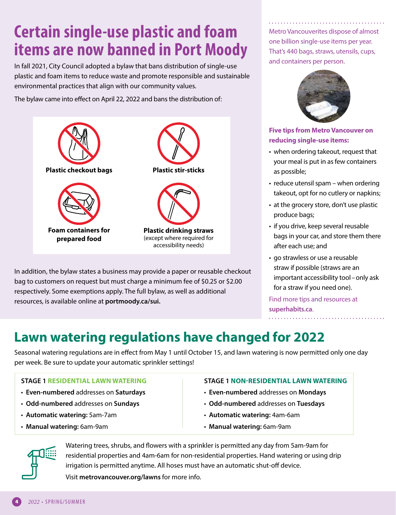# <span id="page-3-0"></span>**Certain single-use plastic and foam items are now banned in Port Moody**

In fall 2021, City Council adopted a bylaw that bans distribution of single-use plastic and foam items to reduce waste and promote responsible and sustainable environmental practices that align with our community values.

The bylaw came into effect on April 22, 2022 and bans the distribution of:



In addition, the bylaw states a business may provide a paper or reusable checkout bag to customers on request but must charge a minimum fee of \$0.25 or \$2.00 respectively. Some exemptions apply. The full bylaw, as well as additional resources, is available online at **[portmoody.ca/sui.](https://www.portmoody.ca/en/city-hall/single-use-plastic-and-foam-items.aspx)**

Metro Vancouverites dispose of almost one billion single-use items per year. That's 440 bags, straws, utensils, cups, and containers per person.



**Five tips from Metro Vancouver on reducing single-use items:**

- when ordering takeout, request that your meal is put in as few containers as possible;
- reduce utensil spam when ordering takeout, opt for no cutlery or napkins;
- at the grocery store, don't use plastic produce bags;
- if you drive, keep several reusable bags in your car, and store them there after each use; and
- go strawless or use a reusable straw if possible (straws are an important accessibility tool–only ask for a straw if you need one).

Find more tips and resources at **[superhabits.ca](http://www.metrovancouver.org/services/solid-waste/reduction-reuse/single-use-items-reduction/Pages/default.aspx)**.

# **Lawn watering regulations have changed for 2022**

Seasonal watering regulations are in effect from May 1 until October 15, and lawn watering is now permitted only one day per week. Be sure to update your automatic sprinkler settings!

#### **STAGE 1 RESIDENTIAL LAWN WATERING**

- **Even-numbered** addresses on **Saturdays**
- **Odd-numbered** addresses on **Sundays**
- **Automatic watering:** 5am-7am
- **Manual watering:** 6am-9am



- **Even-numbered** addresses on **Mondays**
- **Odd-numbered** addresses on **Tuesdays**
- **Automatic watering:** 4am-6am
- • **Manual watering:** 6am-9am



Watering trees, shrubs, and flowers with a sprinkler is permitted any day from 5am-9am for residential properties and 4am-6am for non-residential properties. Hand watering or using drip irrigation is permitted anytime. All hoses must have an automatic shut-off device. Visit **[metrovancouver.org/lawns](http://www.metrovancouver.org/lawns)** for more info.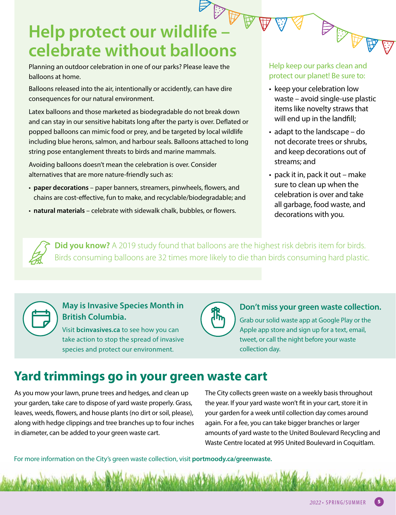# Help protect our wildlife – <sup>以</sup>罗罗 **celebrate without balloons**

Planning an outdoor celebration in one of our parks? Please leave the balloons at home.

Balloons released into the air, intentionally or accidently, can have dire consequences for our natural environment.

Latex balloons and those marketed as biodegradable do not break down and can stay in our sensitive habitats long after the party is over. Deflated or popped balloons can mimic food or prey, and be targeted by local wildlife including blue herons, salmon, and harbour seals. Balloons attached to long string pose entanglement threats to birds and marine mammals.

Avoiding balloons doesn't mean the celebration is over. Consider alternatives that are more nature-friendly such as:

- **paper decorations**  paper banners, streamers, pinwheels, flowers, and chains are cost-effective, fun to make, and recyclable/biodegradable; and
- **natural materials**  celebrate with sidewalk chalk, bubbles, or flowers.

#### Help keep our parks clean and protect our planet! Be sure to:

**ARANT** 

 $\mathbb{S}$ 

- keep your celebration low waste – avoid single-use plastic items like novelty straws that will end up in the landfill;
- adapt to the landscape do not decorate trees or shrubs, and keep decorations out of streams; and
- pack it in, pack it out make sure to clean up when the celebration is over and take all garbage, food waste, and decorations with you.

**Did you know?** A 2019 study found that balloons are the highest risk debris item for birds. Birds consuming balloons are 32 times more likely to die than birds consuming hard plastic.



#### **May is Invasive Species Month in British Columbia.**

Visit **[bcinvasives.ca](https://bcinvasives.ca/)** to see how you can take action to stop the spread of invasive species and protect our environment.



#### **Don't miss your green waste collection.**

Grab our solid waste app at Google Play or the Apple app store and sign up for a text, email, tweet, or call the night before your waste collection day.

### **Yard trimmings go in your green waste cart**

As you mow your lawn, prune trees and hedges, and clean up your garden, take care to dispose of yard waste properly. Grass, leaves, weeds, flowers, and house plants (no dirt or soil, please), along with hedge clippings and tree branches up to four inches in diameter, can be added to your green waste cart.

The City collects green waste on a weekly basis throughout the year. If your yard waste won't fit in your cart, store it in your garden for a week until collection day comes around again. For a fee, you can take bigger branches or larger amounts of yard waste to the United Boulevard Recycling and Waste Centre located at 995 United Boulevard in Coquitlam.

For more information on the City's green waste collection, visit **[portmoody.ca/greenwaste.](https://www.portmoody.ca/en/city-services/green-waste.aspx)**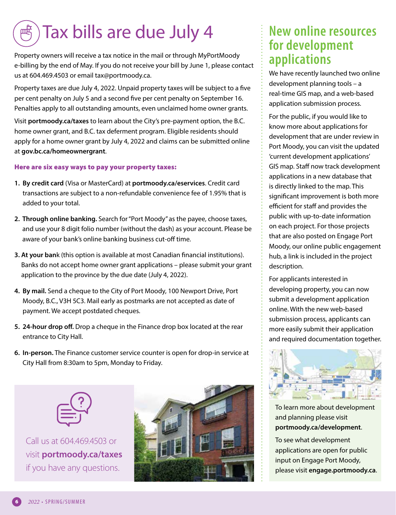#### <span id="page-5-0"></span>鸭 Tax bills are due July 4

Property owners will receive a tax notice in the mail or through MyPortMoody e-billing by the end of May. If you do not receive your bill by June 1, please contact us at 604.469.4503 or email [tax@portmoody.ca.](mailto:tax@portmoody.ca) 

Property taxes are due July 4, 2022. Unpaid property taxes will be subject to a five per cent penalty on July 5 and a second five per cent penalty on September 16. Penalties apply to all outstanding amounts, even unclaimed home owner grants.

Visit **[portmoody.ca/taxes](https://www.portmoody.ca/en/home-and-property/property-taxes.aspx)** to learn about the City's pre-payment option, the B.C. home owner grant, and B.C. tax deferment program. Eligible residents should apply for a home owner grant by July 4, 2022 and claims can be submitted online at **[gov.bc.ca/homeownergrant](https://www2.gov.bc.ca/gov/content/taxes/property-taxes/annual-property-tax/home-owner-grant)**.

#### Here are six easy ways to pay your property taxes:

- **1. By credit card** (Visa or MasterCard) at **[portmoody.ca/eservices](https://eservices.portmoody.ca/OnlineServices/ecom/SelectPayableItem.aspx)**. Credit card transactions are subject to a non-refundable convenience fee of 1.95% that is added to your total.
- **2. Through online banking.** Search for "Port Moody" as the payee, choose taxes, and use your 8 digit folio number (without the dash) as your account. Please be aware of your bank's online banking business cut-off time.
- **3. At your ban**k (this option is available at most Canadian financial institutions). Banks do not accept home owner grant applications – please submit your grant application to the province by the due date (July 4, 2022).
- **4. By mail.** Send a cheque to the City of Port Moody, 100 Newport Drive, Port Moody, B.C., V3H 5C3. Mail early as postmarks are not accepted as date of payment. We accept postdated cheques.
- **5. 24-hour drop off.** Drop a cheque in the Finance drop box located at the rear entrance to City Hall.
- **6. In-person.** The Finance customer service counter is open for drop-in service at City Hall from 8:30am to 5pm, Monday to Friday.



Call us at 604.469.4503 or visit **[portmoody.ca/taxes](https://www.portmoody.ca/en/home-and-property/property-taxes.aspx)** if you have any questions.



### **New online resources for development applications**

We have recently launched two online development planning tools – a real-time GIS map, and a web-based application submission process.

For the public, if you would like to know more about applications for development that are under review in Port Moody, you can visit the updated 'current development applications' GIS map. Staff now track development applications in a new database that is directly linked to the map. This significant improvement is both more efficient for staff and provides the public with up-to-date information on each project. For those projects that are also posted on Engage Port Moody, our online public engagement hub, a link is included in the project description.

For applicants interested in developing property, you can now submit a development application online. With the new web-based submission process, applicants can more easily submit their application and required documentation together.



To learn more about development and planning please visit **[portmoody.ca/development](https://www.portmoody.ca/en/business-and-development/development-and-planning.aspx)**.

To see what development applications are open for public input on Engage Port Moody, please visit **[engage.portmoody.ca](https://engage.portmoody.ca/)**.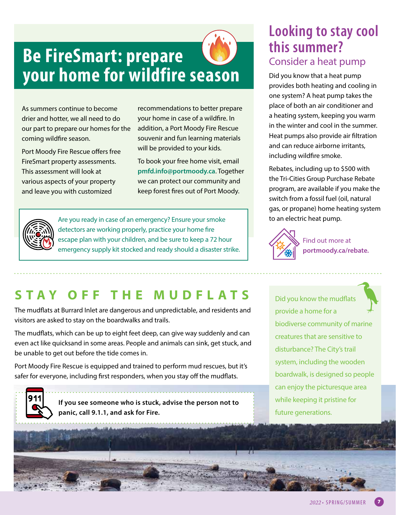# **Be FireSmart: prepare your home for wildfire season**

As summers continue to become drier and hotter, we all need to do our part to prepare our homes for the coming wildfire season.

Port Moody Fire Rescue offers free FireSmart property assessments. This assessment will look at various aspects of your property and leave you with customized

recommendations to better prepare your home in case of a wildfire. In addition, a Port Moody Fire Rescue souvenir and fun learning materials will be provided to your kids.

To book your free home visit, email **[pmfd.info@portmoody.ca](mailto:pmfd.info@portmoody.ca)**. Together we can protect our community and keep forest fires out of Port Moody.



Are you ready in case of an emergency? Ensure your smoke detectors are working properly, practice your home fire escape plan with your children, and be sure to keep a 72 hour emergency supply kit stocked and ready should a disaster strike.

### **Looking to stay cool this summer?**  Consider a heat pump

Did you know that a heat pump provides both heating and cooling in one system? A heat pump takes the place of both an air conditioner and a heating system, keeping you warm in the winter and cool in the summer. Heat pumps also provide air filtration and can reduce airborne irritants, including wildfire smoke.

Rebates, including up to \$500 with the Tri-Cities Group Purchase Rebate program, are available if you make the switch from a fossil fuel (oil, natural gas, or propane) home heating system to an electric heat pump.



Find out more at **[portmoody.ca/rebate.](https://www.portmoody.ca/en/home-and-property/rebates-and-incentives.aspx)**

## **STAY OFF THE MUDFLATS**

The mudflats at Burrard Inlet are dangerous and unpredictable, and residents and visitors are asked to stay on the boardwalks and trails.

The mudflats, which can be up to eight feet deep, can give way suddenly and can even act like quicksand in some areas. People and animals can sink, get stuck, and be unable to get out before the tide comes in.

Port Moody Fire Rescue is equipped and trained to perform mud rescues, but it's safer for everyone, including first responders, when you stay off the mudflats.

911

**If you see someone who is stuck, advise the person not to panic, call 9.1.1, and ask for Fire.**

Did you know the mudflats provide a home for a biodiverse community of marine creatures that are sensitive to disturbance? The City's trail system, including the wooden boardwalk, is designed so people can enjoy the picturesque area while keeping it pristine for future generations.